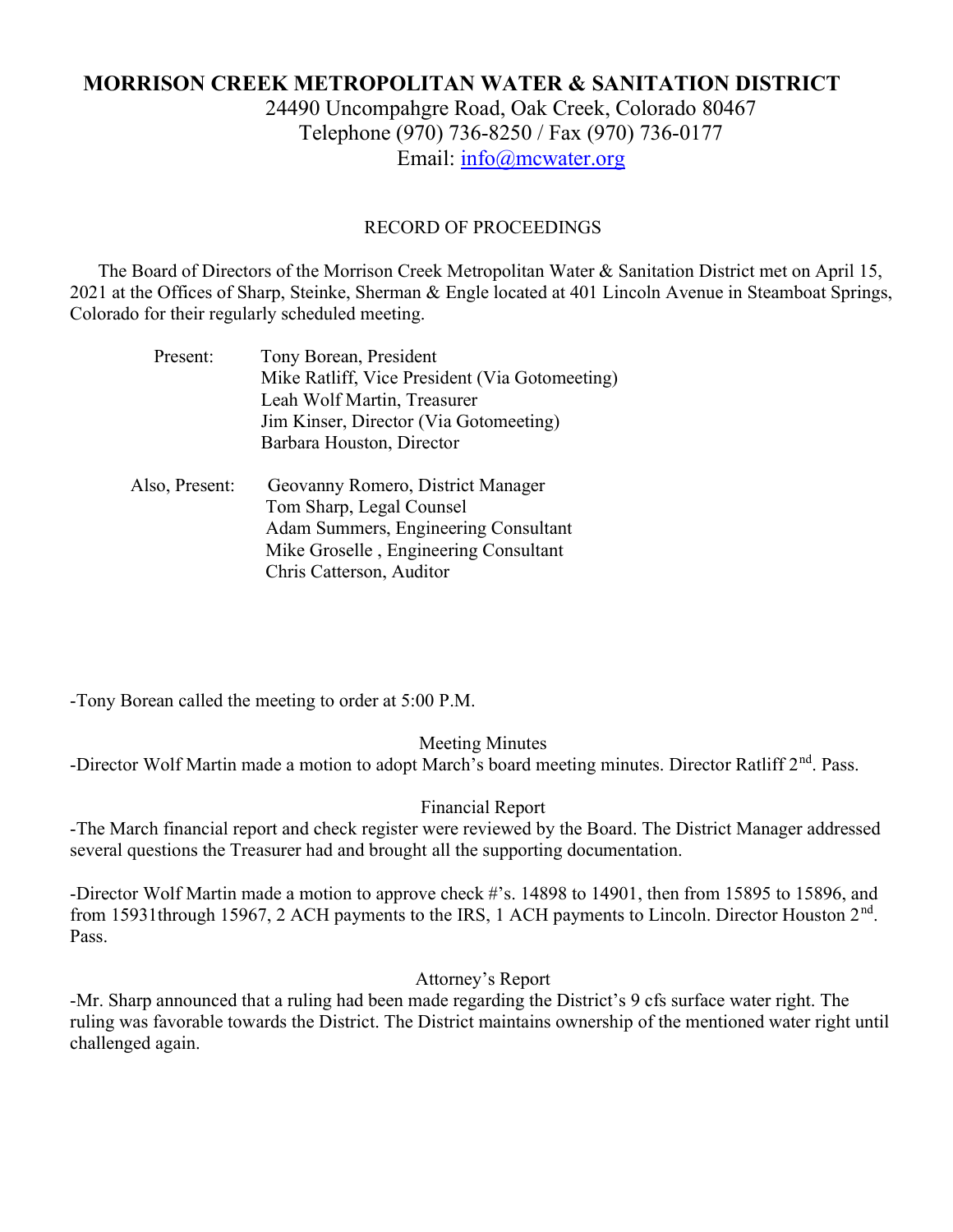# MORRISON CREEK METROPOLITAN WATER & SANITATION DISTRICT

24490 Uncompahgre Road, Oak Creek, Colorado 80467 Telephone (970) 736-8250 / Fax (970) 736-0177 Email: info@mcwater.org

#### RECORD OF PROCEEDINGS

 The Board of Directors of the Morrison Creek Metropolitan Water & Sanitation District met on April 15, 2021 at the Offices of Sharp, Steinke, Sherman & Engle located at 401 Lincoln Avenue in Steamboat Springs, Colorado for their regularly scheduled meeting.

| Tony Borean, President                         |
|------------------------------------------------|
| Mike Ratliff, Vice President (Via Gotomeeting) |
| Leah Wolf Martin, Treasurer                    |
| Jim Kinser, Director (Via Gotomeeting)         |
| Barbara Houston, Director                      |
|                                                |
| Geovanny Romero, District Manager              |
| Tom Sharp, Legal Counsel                       |
| Adam Summers, Engineering Consultant           |
|                                                |
| Mike Groselle, Engineering Consultant          |
|                                                |

-Tony Borean called the meeting to order at 5:00 P.M.

### Meeting Minutes

-Director Wolf Martin made a motion to adopt March's board meeting minutes. Director Ratliff 2<sup>nd</sup>. Pass.

### Financial Report

-The March financial report and check register were reviewed by the Board. The District Manager addressed several questions the Treasurer had and brought all the supporting documentation.

-Director Wolf Martin made a motion to approve check #'s. 14898 to 14901, then from 15895 to 15896, and from 15931through 15967, 2 ACH payments to the IRS, 1 ACH payments to Lincoln. Director Houston 2<sup>nd</sup>. Pass.

## Attorney's Report

-Mr. Sharp announced that a ruling had been made regarding the District's 9 cfs surface water right. The ruling was favorable towards the District. The District maintains ownership of the mentioned water right until challenged again.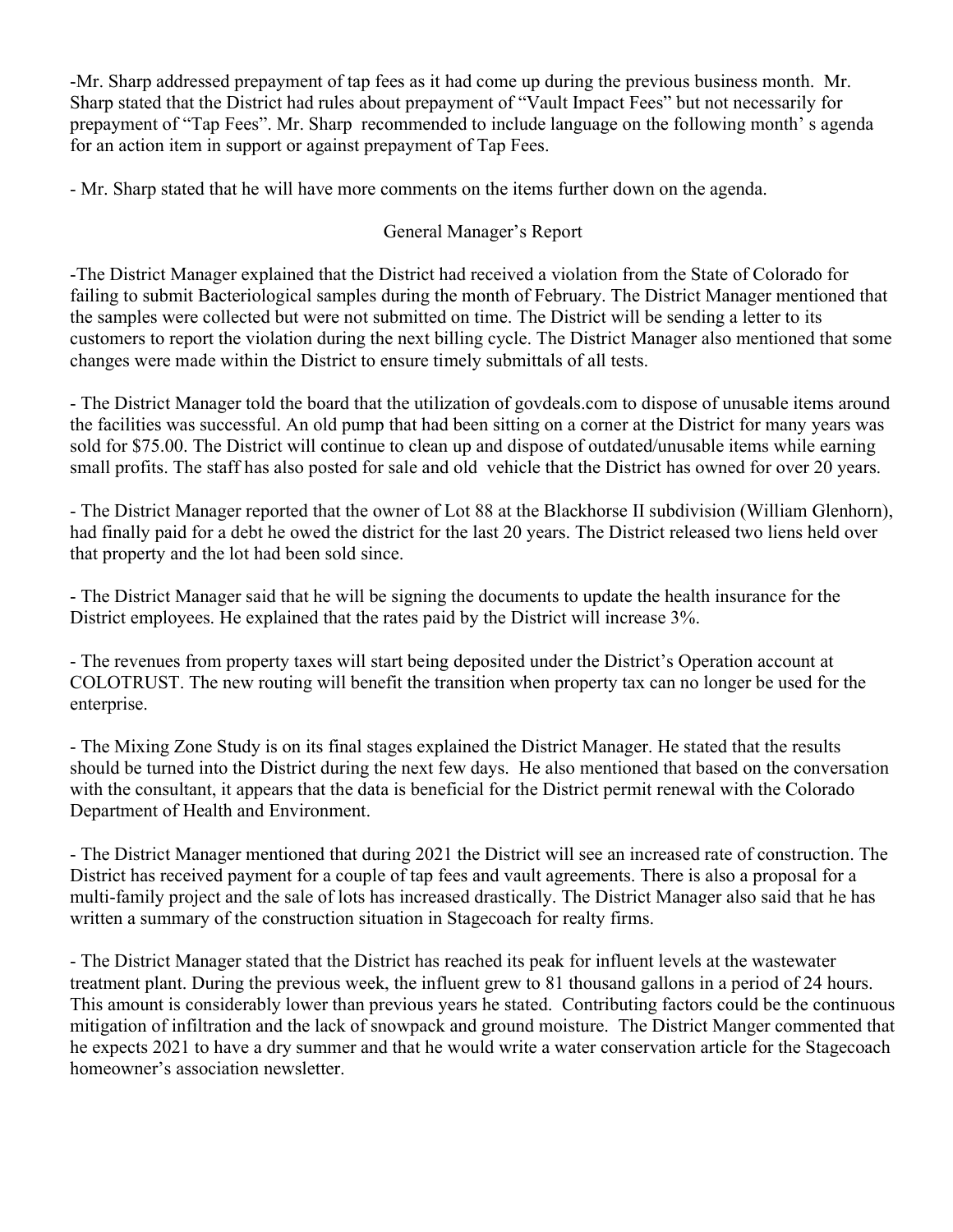-Mr. Sharp addressed prepayment of tap fees as it had come up during the previous business month. Mr. Sharp stated that the District had rules about prepayment of "Vault Impact Fees" but not necessarily for prepayment of "Tap Fees". Mr. Sharp recommended to include language on the following month' s agenda for an action item in support or against prepayment of Tap Fees.

- Mr. Sharp stated that he will have more comments on the items further down on the agenda.

## General Manager's Report

-The District Manager explained that the District had received a violation from the State of Colorado for failing to submit Bacteriological samples during the month of February. The District Manager mentioned that the samples were collected but were not submitted on time. The District will be sending a letter to its customers to report the violation during the next billing cycle. The District Manager also mentioned that some changes were made within the District to ensure timely submittals of all tests.

- The District Manager told the board that the utilization of govdeals.com to dispose of unusable items around the facilities was successful. An old pump that had been sitting on a corner at the District for many years was sold for \$75.00. The District will continue to clean up and dispose of outdated/unusable items while earning small profits. The staff has also posted for sale and old vehicle that the District has owned for over 20 years.

- The District Manager reported that the owner of Lot 88 at the Blackhorse II subdivision (William Glenhorn), had finally paid for a debt he owed the district for the last 20 years. The District released two liens held over that property and the lot had been sold since.

- The District Manager said that he will be signing the documents to update the health insurance for the District employees. He explained that the rates paid by the District will increase 3%.

- The revenues from property taxes will start being deposited under the District's Operation account at COLOTRUST. The new routing will benefit the transition when property tax can no longer be used for the enterprise.

- The Mixing Zone Study is on its final stages explained the District Manager. He stated that the results should be turned into the District during the next few days. He also mentioned that based on the conversation with the consultant, it appears that the data is beneficial for the District permit renewal with the Colorado Department of Health and Environment.

- The District Manager mentioned that during 2021 the District will see an increased rate of construction. The District has received payment for a couple of tap fees and vault agreements. There is also a proposal for a multi-family project and the sale of lots has increased drastically. The District Manager also said that he has written a summary of the construction situation in Stagecoach for realty firms.

- The District Manager stated that the District has reached its peak for influent levels at the wastewater treatment plant. During the previous week, the influent grew to 81 thousand gallons in a period of 24 hours. This amount is considerably lower than previous years he stated. Contributing factors could be the continuous mitigation of infiltration and the lack of snowpack and ground moisture. The District Manger commented that he expects 2021 to have a dry summer and that he would write a water conservation article for the Stagecoach homeowner's association newsletter.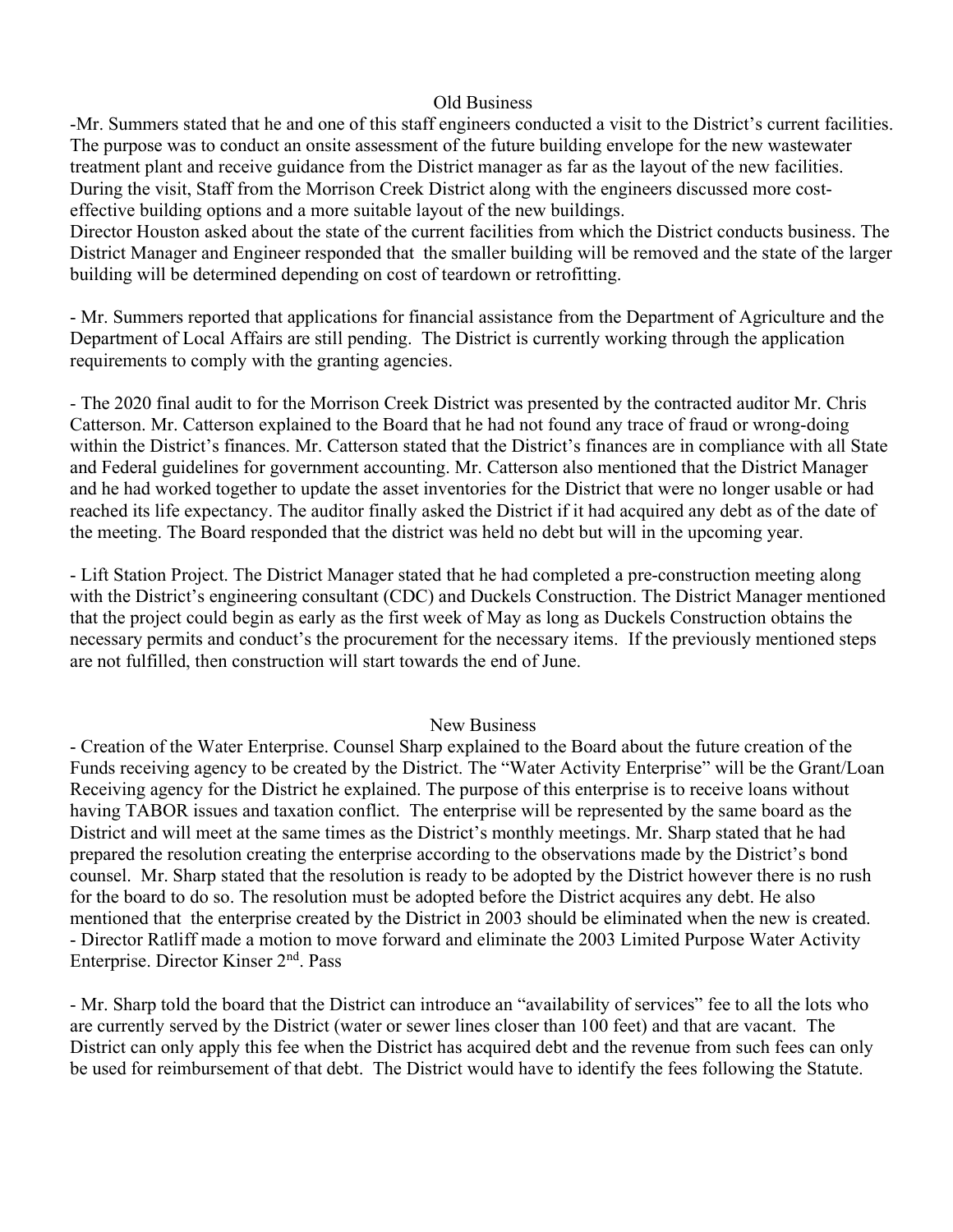### Old Business

-Mr. Summers stated that he and one of this staff engineers conducted a visit to the District's current facilities. The purpose was to conduct an onsite assessment of the future building envelope for the new wastewater treatment plant and receive guidance from the District manager as far as the layout of the new facilities. During the visit, Staff from the Morrison Creek District along with the engineers discussed more costeffective building options and a more suitable layout of the new buildings.

Director Houston asked about the state of the current facilities from which the District conducts business. The District Manager and Engineer responded that the smaller building will be removed and the state of the larger building will be determined depending on cost of teardown or retrofitting.

- Mr. Summers reported that applications for financial assistance from the Department of Agriculture and the Department of Local Affairs are still pending. The District is currently working through the application requirements to comply with the granting agencies.

- The 2020 final audit to for the Morrison Creek District was presented by the contracted auditor Mr. Chris Catterson. Mr. Catterson explained to the Board that he had not found any trace of fraud or wrong-doing within the District's finances. Mr. Catterson stated that the District's finances are in compliance with all State and Federal guidelines for government accounting. Mr. Catterson also mentioned that the District Manager and he had worked together to update the asset inventories for the District that were no longer usable or had reached its life expectancy. The auditor finally asked the District if it had acquired any debt as of the date of the meeting. The Board responded that the district was held no debt but will in the upcoming year.

- Lift Station Project. The District Manager stated that he had completed a pre-construction meeting along with the District's engineering consultant (CDC) and Duckels Construction. The District Manager mentioned that the project could begin as early as the first week of May as long as Duckels Construction obtains the necessary permits and conduct's the procurement for the necessary items. If the previously mentioned steps are not fulfilled, then construction will start towards the end of June.

### New Business

- Creation of the Water Enterprise. Counsel Sharp explained to the Board about the future creation of the Funds receiving agency to be created by the District. The "Water Activity Enterprise" will be the Grant/Loan Receiving agency for the District he explained. The purpose of this enterprise is to receive loans without having TABOR issues and taxation conflict. The enterprise will be represented by the same board as the District and will meet at the same times as the District's monthly meetings. Mr. Sharp stated that he had prepared the resolution creating the enterprise according to the observations made by the District's bond counsel. Mr. Sharp stated that the resolution is ready to be adopted by the District however there is no rush for the board to do so. The resolution must be adopted before the District acquires any debt. He also mentioned that the enterprise created by the District in 2003 should be eliminated when the new is created. - Director Ratliff made a motion to move forward and eliminate the 2003 Limited Purpose Water Activity Enterprise. Director Kinser 2<sup>nd</sup>. Pass

- Mr. Sharp told the board that the District can introduce an "availability of services" fee to all the lots who are currently served by the District (water or sewer lines closer than 100 feet) and that are vacant. The District can only apply this fee when the District has acquired debt and the revenue from such fees can only be used for reimbursement of that debt. The District would have to identify the fees following the Statute.